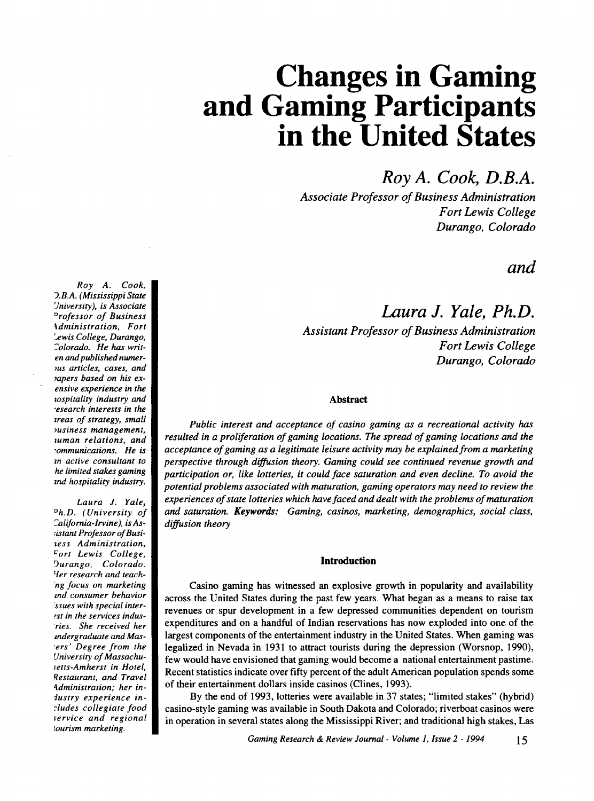*Roy A. Cook, D.B.A.* 

*Associate Professor of Business Administration Fort Lewis College Durango, Colorado* 

# *and*

# *Laura* J. *Yale, Ph.D. Assistant Professor of Business Administration Fort Lewis College Durango, Colorado*

## Abstract

*Public interest and acceptance of casino gaming as a recreational activity has resulted in a proliferation of gaming locations. The spread of gaming locations and the acceptance of gaming as a legitimate leisure activity may be explained from a marketing perspective through diffusion theory. Gaming could see continued revenue growth and participation or, like lotteries, it could face saturation and even decline. To avoid the potential problems associated with maturation, gaming operators may need to review the experiences of state lotteries which have faced and dealt with the problems of maturation and saturation. Keywords: Gaming, casinos, marketing, demographics, social class, diffusion theory* 

#### Introduction

Casino gaming has witnessed an explosive growth in popularity and availability across the United States during the past few years. What began as a means to raise tax revenues or spur development in a few depressed communities dependent on tourism expenditures and on a handful of Indian reservations has now exploded into one of the largest components of the entertainment industry in the United States. When gaming was legalized in Nevada in 1931 to attract tourists during the depression (Worsnop, 1990), few would have envisioned that gaming would become a national entertainment pastime. Recent statistics indicate over fifty percent of the adult American population spends some of their entertainment dollars inside casinos (Clines, 1993 ).

By the end of 1993, lotteries were available in 37 states; "limited stakes" (hybrid) casino-style gaming was available in South Dakota and Colorado; riverboat casinos were in operation in several states along the Mississippi River; and traditional high stakes, Las

*Roy A. Cook, ).B.A. (Mississippi State 'Jniversity ), is Associate "rofessor of Business \dministration, Fort :.t>wis College, Durango, ':olorado. He has writen and published numer-*JUS *articles, cases, and 1apers based on his exensive experience in the wospitality industry and ·esearch interests in the zreas of strategy, small 1usiness management, zuman relations, and :ommunications. He is m active consultant to he limited stakes gaming znd hospitality industry.* 

*Laura J. Yale, "h.D. (University of ':alifomia-lrvine), is As- ;istant ProfessorofBusitess Administration,*  . *r:;ort Lewis College, 'Jurango, Colorado. 'fer research and teach- ·ng focus on marketing md consumer behavior :ssues with special inter-* ~st *in the services indus- 'ries. She received her mdergraduate and Mas- •ers' Degree from the University of Massachufetts-Amherst in Hotel, Restaurant, and Travel -\dministration; her industry experience in- -:ludes collegiate food rervice and regional tourism marketing.*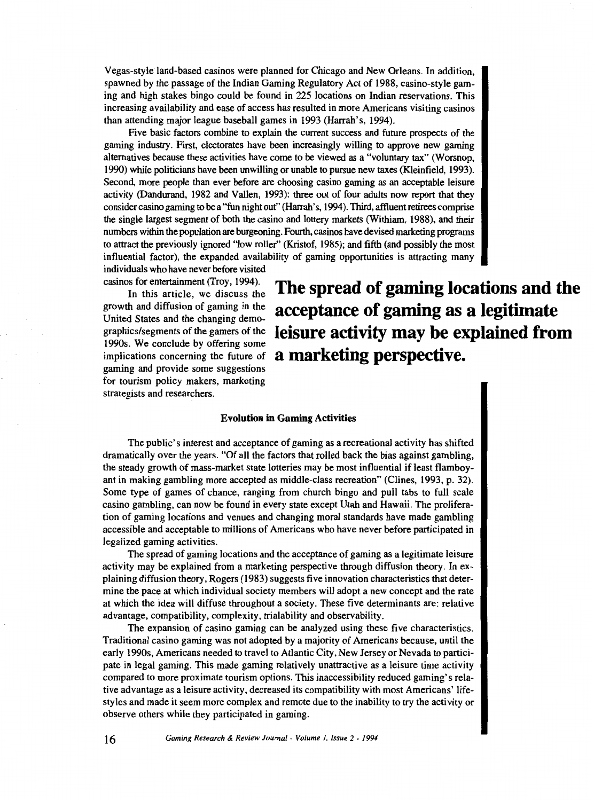Vegas-style land-based casinos were planned for Chicago and New Orleans. In addition, spawned by the passage of the Indian Gaming Regulatory Act of 1988, casino-style gaming and high stakes bingo could be found in 225 locations on Indian reservations. This increasing availability and ease of access has resulted in more Americans visiting casinos than attending major league baseball games in 1993 (Harrah's, 1994).

Five basic factors combine to explain the current success and future prospects of the gaming industry. First, electorates have been increasingly willing to approve new gaming alternatives because these activities have come to be viewed as a "voluntary tax" (Worsnop, 1990) while politicians have been unwilling or unable to pursue new taxes (Kleinfield, 1993). Second, more people than ever before are choosing casino gaming as an acceptable leisure activity (Dandurand, 1982 and Vallen, 1993): three out of four adults now report that they consider casino gaming to be a "fun night out" (Harrah's, 1994). Third, affluent retirees comprise the single largest segment of both the casino and lottery markets (Withiam, 1988), and their numbers within the population are burgeoning. Fourth, casinos have devised marketing programs to attract the previously ignored "low roller'' (Kristof, 1985); and fifth (and possibly the most influential factor), the expanded availability of gaming opportunities is attracting many individuals who have never before visited

casinos for entertainment (Troy, 1994).

In this article, we discuss the growth and diffusion of gaming in the United States and the changing demographics/segments of the gamers of the 1990s. We conclude by offering some implications concerning the future of gaming and provide some suggestions for tourism policy makers, marketing strategists and researchers.

**The spread of gaming locations and the acceptance of gaming as a legitimate leisure activity may be explained from a marketing perspective.** 

#### **Evolution in Gaming Activities**

The public's interest and acceptance of gaming as a recreational activity has shifted dramatically over the years. "Of all the factors that rolled back the bias against gambling, the steady growth of mass-market state lotteries may be most influential if least flamboyant in making gambling more accepted as middle-class recreation" (Clines, 1993, p. 32). Some type of games of chance, ranging from church bingo and pull tabs to full scale casino gambling, can now be found in every state except Utah and Hawaii. The proliferation of gaming locations and venues and changing moral standards have made gambling accessible and acceptable to millions of Americans who have never before participated in legalized gaming activities.

The spread of gaming locations and the acceptance of gaming as a legitimate leisure activity may be explained from a marketing perspective through diffusion theory. In explaining diffusion theory, Rogers ( 1983) suggests five innovation characteristics that determine the pace at which individual society members will adopt a new concept and the rate at which the idea will diffuse throughout a society. These five determinants are: relative advantage, compatibility, complexity, trialability and observability.

The expansion of casino gaming can be analyzed using these five characteristics. Traditional casino gaming was not adopted by a majority of Americans because, until the early 1990s, Americans needed to travel to Atlantic City, New Jersey or Nevada to participate in legal gaming. This made gaming relatively unattractive as a leisure time activity compared to more proximate tourism options. This inaccessibility reduced gaming's relative advantage as a leisure activity, decreased its compatibility with most Americans' lifestyles and made it seem more complex and remote due to the inability to try the activity or observe others while they participated in gaming.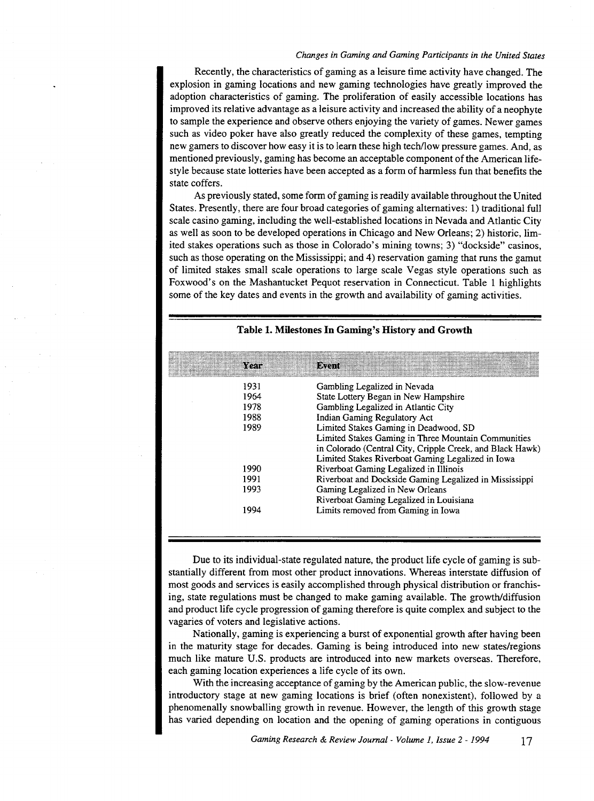Recently, the characteristics of gaming as a leisure time activity have changed. The explosion in gaming locations and new gaming technologies have greatly improved the adoption characteristics of gaming. The proliferation of easily accessible locations has improved its relative advantage as a leisure activity and increased the ability of a neophyte to sample the experience and observe others enjoying the variety of games. Newer games such as video poker have also greatly reduced the complexity of these games, tempting new garners to discover how easy it is to learn these high tech/low pressure games. And, as mentioned previously, gaming has become an acceptable component of the American lifestyle because state lotteries have been accepted as a form of harmless fun that benefits the state coffers.

As previously stated, some form of gaming is readily available throughout the United States. Presently, there are four broad categories of gaming alternatives: 1) traditional full scale casino gaming, including the well-established locations in Nevada and Atlantic City as well as soon to be developed operations in Chicago and New Orleans; 2) historic, limited stakes operations such as those in Colorado's mining towns; 3) "dockside" casinos, such as those operating on the Mississippi; and 4) reservation gaming that runs the gamut of limited stakes small scale operations to large scale Vegas style operations such as Foxwood's on the Mashantucket Pequot reservation in Connecticut. Table 1 highlights some of the key dates and events in the growth and availability of gaming activities.

| a Your | Bezent                                                    |
|--------|-----------------------------------------------------------|
| 1931   | Gambling Legalized in Nevada                              |
| 1964   | State Lottery Began in New Hampshire                      |
| 1978   | Gambling Legalized in Atlantic City                       |
| 1988   | Indian Gaming Regulatory Act                              |
| 1989   | Limited Stakes Gaming in Deadwood, SD                     |
|        | Limited Stakes Gaming in Three Mountain Communities       |
|        | in Colorado (Central City, Cripple Creek, and Black Hawk) |
|        | Limited Stakes Riverboat Gaming Legalized in Iowa         |
| 1990   | Riverboat Gaming Legalized in Illinois                    |
| 1991   | Riverboat and Dockside Gaming Legalized in Mississippi    |
| 1993   | Gaming Legalized in New Orleans                           |
|        | Riverboat Gaming Legalized in Louisiana                   |
| 1994   | Limits removed from Gaming in Iowa                        |
|        |                                                           |

#### **Table 1. Milestones In Gaming's History and Growth**

Due to its individual-state regulated nature, the product life cycle of gaming is substantially different from most other product innovations. Whereas interstate diffusion of most goods and services is easily accomplished through physical distribution or franchising, state regulations must be changed to make gaming available. The growth/diffusion and product life cycle progression of gaming therefore is quite complex and subject to the vagaries of voters and legislative actions.

Nationally, gaming is experiencing a burst of exponential growth after having been in the maturity stage for decades. Gaming is being introduced into new states/regions much like mature U.S. products are introduced into new markets overseas. Therefore, each gaming location experiences a life cycle of its own.

With the increasing acceptance of gaming by the American public, the slow-revenue introductory stage at new gaming locations is brief (often nonexistent), followed by a phenomenally snowballing growth in revenue. However, the length of this growth stage has varied depending on location and the opening of gaming operations in contiguous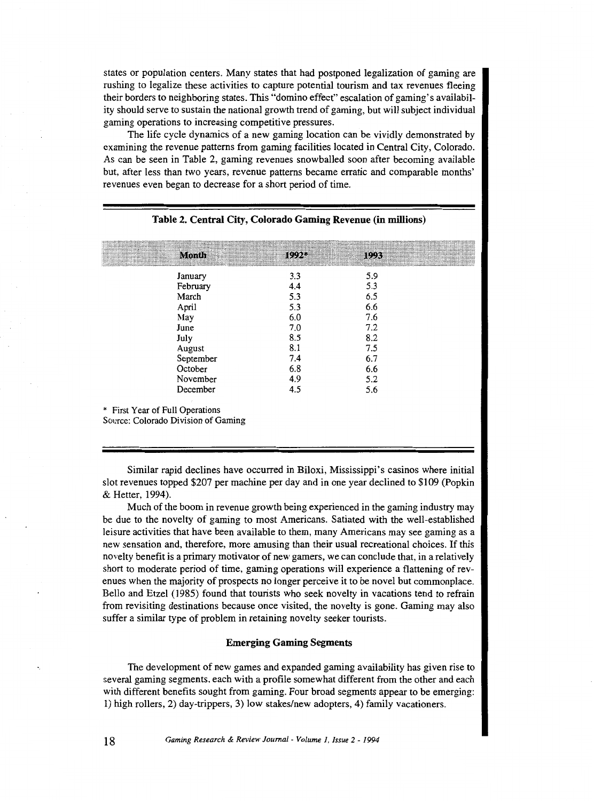states or population centers. Many states that had postponed legalization of gaming are rushing to legalize these activities to capture potential tourism and tax revenues fleeing their borders to neighboring states. This "domino effect" escalation of gaming's availability should serve to sustain the national growth trend of gaming, but will subject individual gaming operations to increasing competitive pressures.

The life cycle dynamics of a new gaming location can be vividly demonstrated by examining the revenue patterns from gaming facilities located in Central City, Colorado. As can be seen in Table 2, gaming revenues snowballed soon after becoming available but, after less than two years, revenue patterns became erratic and comparable months' revenues even began to decrease for a short period of time.

|                                 | Month                               | $1992*$ | 1993 |  |
|---------------------------------|-------------------------------------|---------|------|--|
|                                 | January                             | 3.3     | 5.9  |  |
|                                 |                                     | 4.4     | 5.3  |  |
|                                 | February                            |         |      |  |
|                                 | March                               | 5.3     | 6.5  |  |
|                                 | April                               | 5.3     | 6.6  |  |
|                                 | May                                 | 6.0     | 7.6  |  |
|                                 | June                                | 7.0     | 7.2  |  |
|                                 | July                                | 8.5     | 8.2  |  |
|                                 | August                              | 8.1     | 7.5  |  |
|                                 | September                           | 7.4     | 6.7  |  |
|                                 | October                             | 6.8     | 6.6  |  |
|                                 | November                            | 4.9     | 5.2  |  |
|                                 | December                            | 4.5     | 5.6  |  |
| * First Year of Full Operations | Source: Colorado Division of Gaming |         |      |  |

#### **Table 2. Central City, Colorado Gaming Revenue (in millions)**

Similar rapid declines have occurred in Biloxi, Mississippi's casinos where initial slot revenues topped \$207 per machine per day and in one year declined to \$109 (Popkin & Retter, 1994).

Much of the boom in revenue growth being experienced in the gaming industry may be due to the novelty of gaming to most Americans. Satiated with the well-established leisure activities that have been available to them, many Americans may see gaming as a new sensation and, therefore, more amusing than their usual recreational choices. If this novelty benefit is a primary motivator of new gamers, we can conclude that, in a relatively short to moderate period of time, gaming operations will experience a flattening of revenues when the majority of prospects no longer perceive it to be novel but commonplace. Bello and Etzel (1985) found that tourists who seek novelty in vacations tend to refrain from revisiting destinations because once visited, the novelty is gone. Gaming may also suffer a similar type of problem in retaining novelty seeker tourists.

# **Emerging Gaming Segments**

The development of new games and expanded gaming availability has given rise to several gaming segments, each with a profile somewhat different from the other and each with different benefits sought from gaming. Four broad segments appear to be emerging: 1) high rollers, 2) day-trippers, 3) low stakes/new adopters, 4) family vacationers.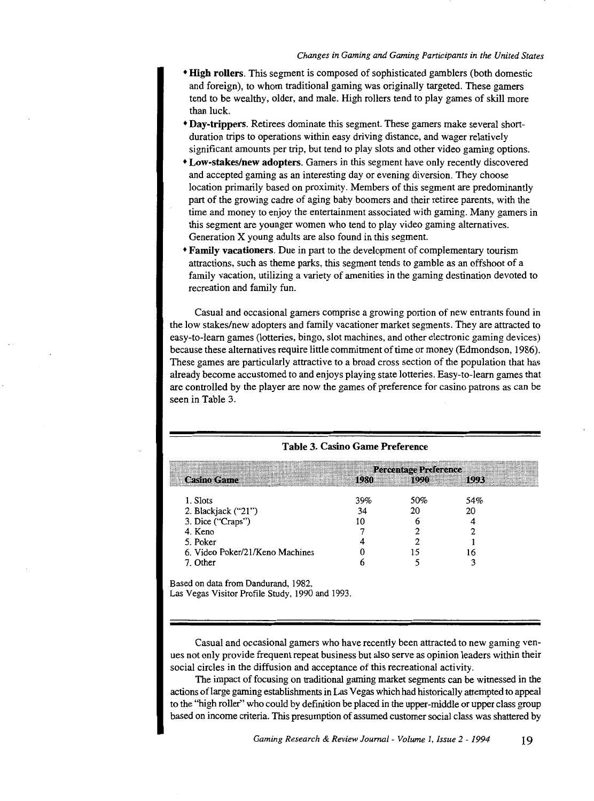- **High rollers.** This segment is composed of sophisticated gamblers (both domestic and foreign), to whom traditional gaming was originally targeted. These gamers tend to be wealthy, older, and male. High rollers tend to play games of skill more than luck.
- **Day-trippers.** Retirees dominate this segment. These garners make several shortduration trips to operations within easy driving distance, and wager relatively significant amounts per trip, but tend to play slots and other video gaming options.
- **Low-stakes/new adopters.** Garners in this segment have only recently discovered and accepted gaming as an interesting day or evening diversion. They choose location primarily based on proximity. Members of this segment are predominantly part of the growing cadre of aging baby boomers and their retiree parents, with the time and money to enjoy the entertainment associated with gaming. Many gamers in this segment are younger women who tend to play video gaming alternatives. Generation X young adults are also found in this segment.
- **Family vacationers.** Due in part to the development of complementary tourism attractions, such as theme parks, this segment tends to gamble as an offshoot of a family vacation, utilizing a variety of amenities in the gaming destination devoted to recreation and family fun.

Casual and occasional garners comprise a growing portion of new entrants found in the low stakes/new adopters and family vacationer market segments. They are attracted to easy-to-learn games (lotteries, bingo, slot machines, and other electronic gaming devices) because these alternatives require little commitment of time or money (Edmondson, 1986). These games are particularly attractive to a broad cross section of the population that has already become accustomed to and enjoys playing state lotteries. Easy-to-learn games that are controlled by the player are now the games of preference for casino patrons as can be seen in Table 3.

|                                 | <b>Percentage Preference</b> |      |      |  |
|---------------------------------|------------------------------|------|------|--|
| <b>Casino Game</b>              | 1980                         | 1990 | 1993 |  |
| 1. Slots                        | 39%                          | 50%  | 54%  |  |
| 2. Blackjack $("21")$           | 34                           |      | 20   |  |
| 3. Dice ("Craps")               |                              |      |      |  |
| 4. Keno                         |                              |      |      |  |
| 5. Poker                        |                              |      |      |  |
| 6. Video Poker/21/Keno Machines |                              |      |      |  |
| 7. Other                        |                              |      |      |  |
|                                 |                              |      |      |  |

**Table 3. Casino Game Preference** 

Based on data from Dandurand, 1982,

Las Vegas Visitor Profile Study, 1990 and 1993.

Casual and occasional gamers who have recently been attracted to new gaming venues not only provide frequent repeat business but also serve as opinion leaders within their social circles in the diffusion and acceptance of this recreational activity.

The impact of focusing on traditional gaming market segments can be witnessed in the actions oflarge gaming establishments in Las Vegas which had historically attempted to appeal to the "high roller" who could by definition be placed in the upper-middle or upper class group based on income criteria. This presumption of assumed customer social class was shattered by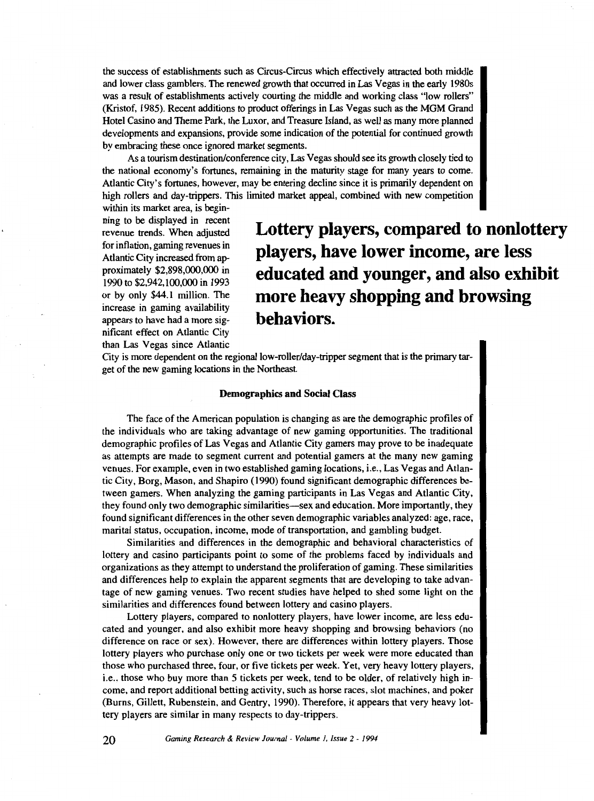the success of establishments such as Circus-Circus which effectively attracted both middle and lower class gamblers. The renewed growth that occurred in Las Vegas in the early 1980s was a result of establishments actively courting the middle and working class "low rollers" (Kristof, 1985). Recent additions to product offerings in Las Vegas such as the MGM Grand Hotel Casino and Theme Park, the Luxor, and Treasure Island, as well as many more planned developments and expansions, provide some indication of the potential for continued growth by embracing these once ignored market segments.

As a tourism destination/conference city, Las Vegas should see its growth closely tied to the national economy's fortunes, remaining in the maturity stage for many years to come. Atlantic City's fortunes, however, may be entering decline since it is primarily dependent on high rollers and day-trippers. This limited market appeal, combined with new competition

within its market area, is beginning to be displayed in recent revenue trends. When adjusted for inflation, gaming revenues in Atlantic City increased from approximately \$2,898,000,000 in 1990 to \$2,942,100,000 in 1993 or by only \$44.1 million. The increase in gaming availability appears to have had a more significant effect on Atlantic City than Las Vegas since Atlantic

**Lottery players, compared to nonlottery players, have lower income, are less educated and younger, and also exhibit more heavy shopping and browsing behaviors.** 

City is more dependent on the regional low-roller/day-tripper segment that is the primary target of the new gaming locations in the Northeast.

#### Demographics and Social Class

The face of the American population is changing as are the demographic profiles of the individuals who are taking advantage of new gaming opportunities. The traditional demographic profiles of Las Vegas and Atlantic City gamers may prove to be inadequate as attempts are made to segment current and potential garners at the many new gaming venues. For example, even in two established gaming locations, i.e., Las Vegas and Atlantic City, Borg, Mason, and Shapiro ( 1990) found significant demographic differences between gamers. When analyzing the gaming participants in Las Vegas and Atlantic City, they found only two demographic similarities—sex and education. More importantly, they found significant differences in the other seven demographic variables analyzed: age, race, marital status, occupation, income, mode of transportation, and gambling budget.

Similarities and differences in the demographic and behavioral characteristics of lottery and casino participants point to some of the problems faced by individuals and organizations as they attempt to understand the proliferation of gaming. These similarities and differences help to explain the apparent segments that are developing to take advantage of new gaming venues. Two recent studies have helped to shed some light on the similarities and differences found between lottery and casino players.

Lottery players, compared to nonlottery players, have lower income, are less educated and younger, and also exhibit more heavy shopping and browsing behaviors (no difference on race or sex). However, there are differences within lottery players. Those lottery players who purchase only one or two tickets per week were more educated than those who purchased three, four, or five tickets per week. Yet, very heavy lottery players, i.e., those who buy more than *5* tickets per week, tend to be older, of relatively high income, and report additional betting activity, such as horse races, slot machines, and poker (Burns, Gillett, Rubenstein, and Gentry, 1990). Therefore, it appears that very heavy lottery players are similar in many respects to day-trippers.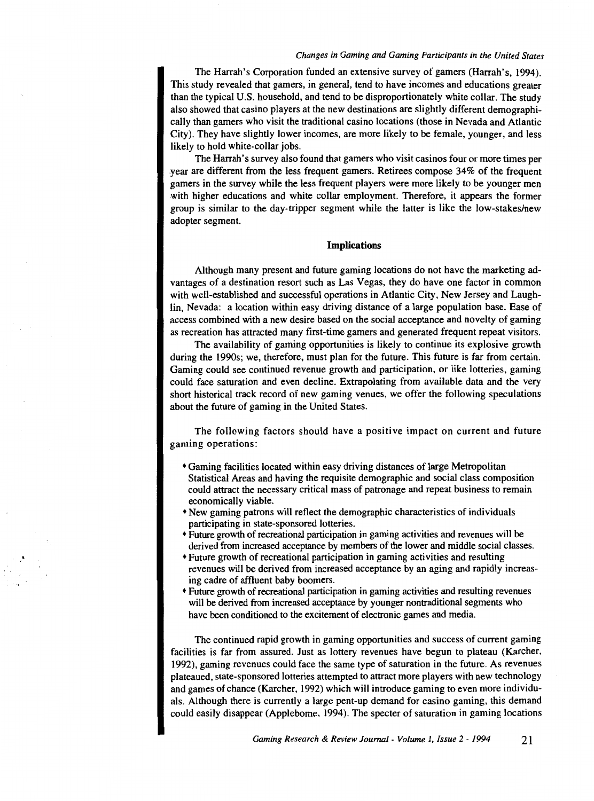The Harrah's Corporation funded an extensive survey of gamers (Harrah's, 1994). This study revealed that gamers, in general, tend to have incomes and educations greater than the typical U.S. household, and tend to be disproportionately white collar. The study also showed that casino players at the new destinations are slightly different demographically than garners who visit the traditional casino locations (those in Nevada and Atlantic City). They have slightly lower incomes, are more likely to be female, younger, and less likely to hold white-collar jobs.

The Harrah's survey also found that gamers who visit casinos four or more times per year are different from the less frequent gamers. Retirees compose 34% of the frequent garners in the survey while the less frequent players were more likely to be younger men with higher educations and white collar employment. Therefore, it appears the former group is similar to the day-tripper segment while the latter is like the low-stakes/new adopter segment.

#### **Implications**

Although many present and future gaming locations do not have the marketing advantages of a destination resort such as Las Vegas, they do have one factor in common with well-established and successful operations in Atlantic City, New Jersey and Laughlin, Nevada: a location within easy driving distance of a large population base. Ease of access combined with a new desire based on the social acceptance and novelty of gaming as recreation has attracted many first-time gamers and generated frequent repeat visitors.

The availability of gaming opportunities is likely to continue its explosive growth during the 1990s; we, therefore, must plan for the future. This future is far from certain. Gaming could see continued revenue growth and participation, or like lotteries, gaming could face saturation and even decline. Extrapolating from available data and the very short historical track record of new gaming venues, we offer the following speculations about the future of gaming in the United States.

The following factors should have a positive impact on current and future gaming operations:

- Gaming facilities located within easy driving distances of large Metropolitan Statistical Areas and having the requisite demographic and social class composition could attract the necessary critical mass of patronage and repeat business to remain economically viable.
- New gaming patrons will reflect the demographic characteristics of individuals participating in state-sponsored lotteries.
- Future growth of recreational participation in gaming activities and revenues will be derived from increased acceptance by members of the lower and middle social classes.
- Future growth of recreational participation in gaming activities and resulting revenues will be derived from increased acceptance by an aging and rapidly increasing cadre of affluent baby boomers.
- Future growth of recreational participation in gaming activities and resulting revenues will be derived from increased acceptance by younger nontraditional segments who have been conditioned to the excitement of electronic games and media.

The continued rapid growth in gaming opportunities and success of current gaming facilities is far from assured. Just as lottery revenues have begun to plateau (Karcher, 1992), gaming revenues could face the same type of saturation in the future. As revenues plateaued, state-sponsored lotteries attempted to attract more players with new technology and games of chance (Karcher, 1992) which will introduce gaming to even more individuals. Although there is currently a large pent-up demand for casino gaming, this demand could easily disappear (Applebome, 1994). The specter of saturation in gaming locations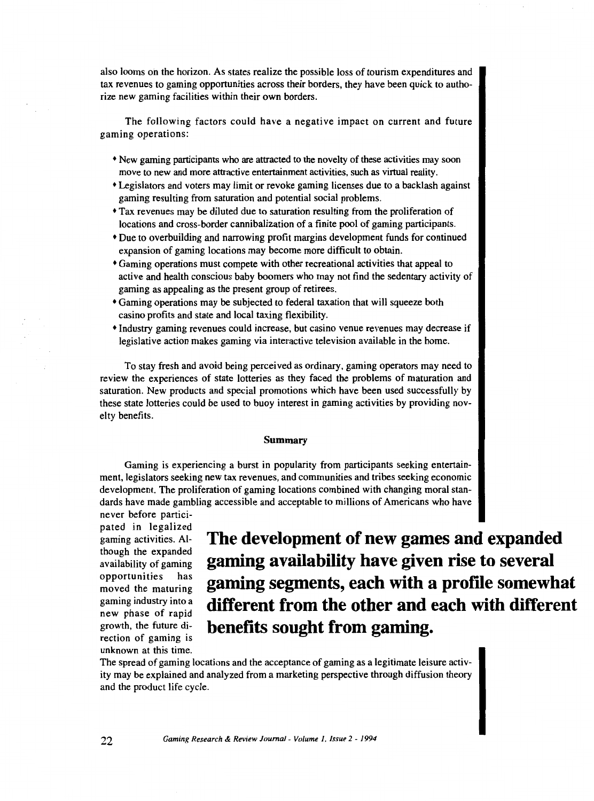also looms on the horizon. As states realize the possible loss of tourism expenditures and tax revenues to gaming opportunities across their borders, they have been quick to authorize new gaming facilities within their own borders.

The following factors could have a negative impact on current and future gaming operations:

- New gaming participants who are attracted to the novelty of these activities may soon move to new and more attractive entertainment activities, such as virtual reality.
- Legislators and voters may limit or revoke gaming licenses due to a backlash against gaming resulting from saturation and potential social problems.
- Tax revenues may be diluted due to saturation resulting from the proliferation of locations and cross-border cannibalization of a finite pool of gaming participants.
- <sup>+</sup>Due to overbuilding and narrowing profit margins development funds for continued expansion of gaming locations may become more difficult to obtain.
- Gaming operations must compete with other recreational activities that appeal to active and health conscious baby boomers who may not find the sedentary activity of gaming as appealing as the present group of retirees.
- Gaming operations may be subjected to federal taxation that will squeeze both casino profits and state and local taxing flexibility.
- Industry gaming revenues could increase, but casino venue revenues may decrease if legislative action makes gaming via interactive television available in the home.

To stay fresh and avoid being perceived as ordinary, gaming operators may need to review the experiences of state lotteries as they faced the problems of maturation and saturation. New products and special promotions which have been used successfully by these state lotteries could be used to buoy interest in gaming activities by providing novelty benefits.

#### **Summary**

Gaming is experiencing a burst in popularity from participants seeking entertainment, legislators seeking new tax revenues, and communities and tribes seeking economic development. The proliferation of gaming locations combined with changing moral standards have made gambling accessible and acceptable to millions of Americans who have never before partici-

pated in legalized gaming activities. Although the expanded availability of gaming opportunities has moved the maturing gaming industry into a new phase of rapid growth, the future direction of gaming is unknown at this time.

**The development of new games and expanded gaming availability have given rise to several gaming segments, each with a profile somewhat different from the other and each with different benefits sought from gaming.** 

The spread of gaming locations and the acceptance of gaming as a legitimate leisure activity may be explained and analyzed from a marketing perspective through diffusion theory and the product life cycle.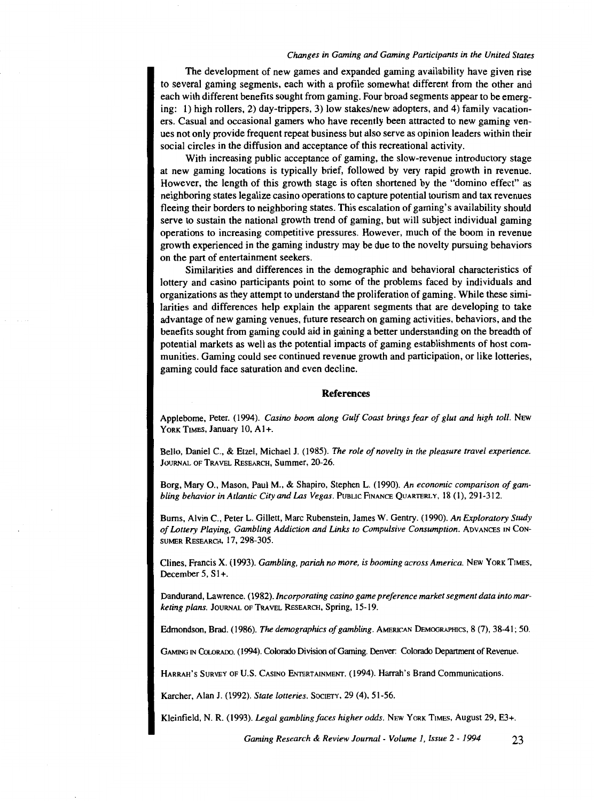The development of new games and expanded gaming availability have given rise to several gaming segments, each with a profile somewhat different from the other and each with different benefits sought from gaming. Four broad segments appear to be emerging: 1) high rollers, 2) day-trippers, 3) low stakes/new adopters, and 4) family vacationers. Casual and occasional gamers who have recently been attracted to new gaming venues not only provide frequent repeat business but also serve as opinion leaders within their social circles in the diffusion and acceptance of this recreational activity.

With increasing public acceptance of gaming, the slow-revenue introductory stage at new gaming locations is typically brief, followed by very rapid growth in revenue. However, the length of this growth stage is often shortened by the "domino effect" as neighboring states legalize casino operations to capture potential tourism and tax revenues fleeing their borders to neighboring states. This escalation of gaming's availability should serve to sustain the national growth trend of gaming, but will subject individual gaming operations to increasing competitive pressures. However, much of the boom in revenue growth experienced in the gaming industry may be due to the novelty pursuing behaviors on the part of entertainment seekers.

Similarities and differences in the demographic and behavioral characteristics of lottery and casino participants point to some of the problems faced by individuals and organizations as they attempt to understand the proliferation of gaming. While these similarities and differences help explain the apparent segments that are developing to take advantage of new gaming venues, future research on gaming activities, behaviors, and the benefits sought from gaming could aid in gaining a better understanding on the breadth of potential markets as well as the potential impacts of gaming establishments of host communities. Gaming could see continued revenue growth and participation, or like lotteries, gaming could face saturation and even decline.

#### **References**

Applebome, Peter. (1994). *Casino boom along Gulf Coast brings fear of glut and high toll*. New YoRK TIMES, January 10, AI+.

Bello, Daniel C., & Etzel, Michael J. (1985). *The role of novelty in the pleasure travel experience.*  JouRNAL OF TRAVEL REsEARCH, Summer, 20-26.

Borg, Mary 0., Mason, Paul M., & Shapiro, Stephen L. (1990). *An economic comparison of gambling behavior in Atlantic City and Las Vegas.* PUBLIC FINANCE QUARTERLY, 18 (1), 291-312.

Bums, Alvin C., Peter L. Gillett, Marc Rubenstein, James W. Gentry. (1990). *An Exploratory Study*  of Lottery Playing, Gambling Addiction and Links to Compulsive Consumption. ADVANCES IN CON-SUMER RESEARCH, 17, 298-305.

Clines, Francis X. ( 1993). *Gambling, pariah no more, is booming across America.* NEW YoRK TIMES, December 5, S1+.

Dandurand, Lawrence. (1982). *Incorporating casino game preference market segment data into marketing plans.* JOURNAL OF TRAVEL RESEARCH, Spring, 15-19.

Edmondson, Brad. ( 1986). The *demagraphics of gambling.* AMERICAN DEMOGRAPHICS, 8 (7), 38-41; 50.

GAMINo IN CoLoRADO. ( 1994). Colorado Division of Gaming. Denver: Colorado Department of Revenue.

HARRAH's SuRVEY OF U.S. CASINO ENTERTAINMENT. (1994). Harrah's Brand Communications.

Karcher, Alan J. (1992). *State lotteries.* SociETY, 29 (4), 51-56.

Kleinfield, N. R. (1993). *Legal gambling faces higher odds.* NEW YORK TIMES, August 29, E3+.